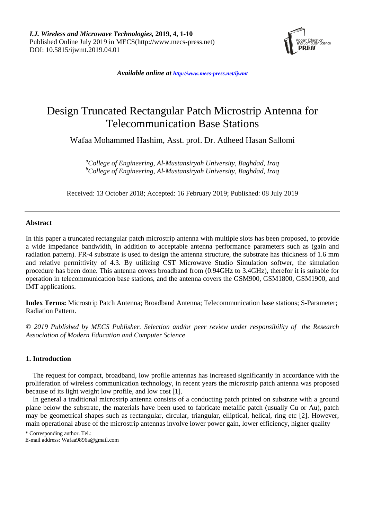

*Available online at <http://www.mecs-press.net/ijwmt>*

# Design Truncated Rectangular Patch Microstrip Antenna for Telecommunication Base Stations

Wafaa Mohammed Hashim, Asst. prof. Dr. Adheed Hasan Sallomi

*<sup>a</sup>College of Engineering, Al-Mustansiryah University, Baghdad, Iraq <sup>b</sup>College of Engineering, Al-Mustansiryah University, Baghdad, Iraq*

Received: 13 October 2018; Accepted: 16 February 2019; Published: 08 July 2019

# **Abstract**

In this paper a truncated rectangular patch microstrip antenna with multiple slots has been proposed, to provide a wide impedance bandwidth, in addition to acceptable antenna performance parameters such as (gain and radiation pattern). FR-4 substrate is used to design the antenna structure, the substrate has thickness of 1.6 mm and relative permittivity of 4.3. By utilizing CST Microwave Studio Simulation softwer, the simulation procedure has been done. This antenna covers broadband from (0.94GHz to 3.4GHz), therefor it is suitable for operation in telecommunication base stations, and the antenna covers the GSM900, GSM1800, GSM1900, and IMT applications.

**Index Terms:** Microstrip Patch Antenna; Broadband Antenna; Telecommunication base stations; S-Parameter; Radiation Pattern.

*© 2019 Published by MECS Publisher. Selection and/or peer review under responsibility of the Research Association of Modern Education and Computer Science*

# **1. Introduction**

The request for compact, broadband, low profile antennas has increased significantly in accordance with the proliferation of wireless communication technology, in recent years the microstrip patch antenna was proposed because of its light weight low profile, and low cost [1].

In general a traditional microstrip antenna consists of a conducting patch printed on substrate with a ground plane below the substrate, the materials have been used to fabricate metallic patch (usually Cu or Au), patch may be geometrical shapes such as rectangular, circular, triangular, elliptical, helical, ring etc [2]. However, main operational abuse of the microstrip antennas involve lower power gain, lower efficiency, higher quality

\* Corresponding author. Tel.:

E-mail address: Wafaa9896a@gmail.com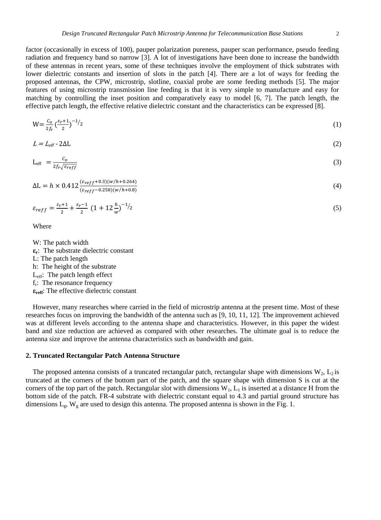factor (occasionally in excess of 100), pauper polarization pureness, pauper scan performance, pseudo feeding radiation and frequency band so narrow [3]. A lot of investigations have been done to increase the bandwidth of these antennas in recent years, some of these techniques involve the employment of thick substrates with lower dielectric constants and insertion of slots in the patch [4]. There are a lot of ways for feeding the proposed antennas, the CPW, microstrip, slotline, coaxial probe are some feeding methods [5]. The major features of using microstrip transmission line feeding is that it is very simple to manufacture and easy for matching by controlling the inset position and comparatively easy to model [6, 7]. The patch length, the effective patch length, the effective relative dielectric constant and the characteristics can be expressed [8].

$$
W = \frac{c_o}{2f_r} \left(\frac{\varepsilon_r + 1}{2}\right)^{-1/2} \tag{1}
$$

$$
L = L_{\text{eff}} - 2\Delta L \tag{2}
$$

$$
L_{eff} = \frac{c_o}{2f_r\sqrt{\varepsilon_{reff}}} \tag{3}
$$

$$
\Delta L = h \times 0.412 \frac{(\varepsilon_{reff} + 0.3)(w/h + 0.264)}{(\varepsilon_{reff} - 0.258)(w/h + 0.8)}
$$
(4)

$$
\varepsilon_{reff} = \frac{\varepsilon_{r+1}}{2} + \frac{\varepsilon_{r-1}}{2} \left( 1 + 12 \frac{h}{w} \right)^{-1/2} \tag{5}
$$

Where

W: The patch width **εr** : The substrate dielectric constant L: The patch length h: The height of the substrate L<sub>eff</sub>: The patch length effect fr : The resonance frequency **εreff**: The effective dielectric constant

However, many researches where carried in the field of microstrip antenna at the present time. Most of these researches focus on improving the bandwidth of the antenna such as [9, 10, 11, 12]. The improvement achieved was at different levels according to the antenna shape and characteristics. However, in this paper the widest band and size reduction are achieved as compared with other researches. The ultimate goal is to reduce the antenna size and improve the antenna characteristics such as bandwidth and gain.

## **2. Truncated Rectangular Patch Antenna Structure**

The proposed antenna consists of a truncated rectangular patch, rectangular shape with dimensions  $W_2$ ,  $L_2$  is truncated at the corners of the bottom part of the patch, and the square shape with dimension S is cut at the corners of the top part of the patch. Rectangular slot with dimensions  $W_1$ ,  $L_1$  is inserted at a distance H from the bottom side of the patch. FR-4 substrate with dielectric constant equal to 4.3 and partial ground structure has dimensions  $L_g$ ,  $W_g$  are used to design this antenna. The proposed antenna is shown in the Fig. 1.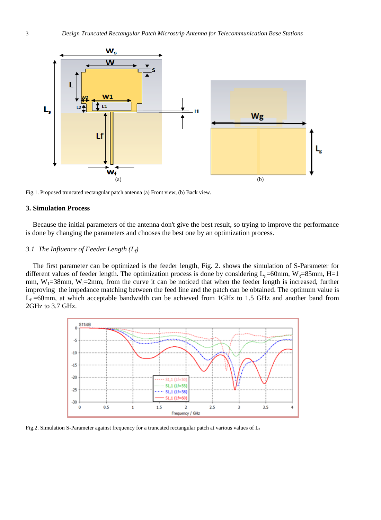

Fig.1. Proposed truncated rectangular patch antenna (a) Front view, (b) Back view.

## **3. Simulation Process**

Because the initial parameters of the antenna don't give the best result, so trying to improve the performance is done by changing the parameters and chooses the best one by an optimization process.

## *3.1 The Influence of Feeder Length (Lf)*

The first parameter can be optimized is the feeder length, Fig. 2. shows the simulation of S-Parameter for different values of feeder length. The optimization process is done by considering  $L_g=60$ mm, W $_g=85$ mm, H=1 mm,  $W_1=38$ mm,  $W_1=2$ mm, from the curve it can be noticed that when the feeder length is increased, further improving the impedance matching between the feed line and the patch can be obtained. The optimum value is  $L_f = 60$ mm, at which acceptable bandwidth can be achieved from 1GHz to 1.5 GHz and another band from 2GHz to 3.7 GHz.



Fig.2. Simulation S-Parameter against frequency for a truncated rectangular patch at various values of  $L_f$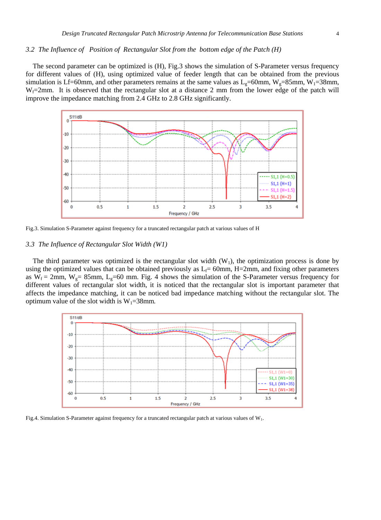#### *3.2 The Influence of Position of Rectangular Slot from the bottom edge of the Patch (H)*

The second parameter can be optimized is (H), Fig.3 shows the simulation of S-Parameter versus frequency for different values of (H), using optimized value of feeder length that can be obtained from the previous simulation is Lf=60mm, and other parameters remains at the same values as  $L<sub>g</sub>=60$ mm, W<sub>g</sub>=85mm, W<sub>1</sub>=38mm,  $W_f=2mm$ . It is observed that the rectangular slot at a distance 2 mm from the lower edge of the patch will improve the impedance matching from 2.4 GHz to 2.8 GHz significantly.



Fig.3. Simulation S-Parameter against frequency for a truncated rectangular patch at various values of H

## *3.3 The Influence of Rectangular Slot Width (W1)*

The third parameter was optimized is the rectangular slot width  $(W_1)$ , the optimization process is done by using the optimized values that can be obtained previously as  $L_f= 60$ mm, H=2mm, and fixing other parameters as  $W_f = 2$ mm,  $W_g = 85$ mm,  $L_g = 60$  mm. Fig. 4 shows the simulation of the S-Parameter versus frequency for different values of rectangular slot width, it is noticed that the rectangular slot is important parameter that affects the impedance matching, it can be noticed bad impedance matching without the rectangular slot. The optimum value of the slot width is  $W_1 = 38$ mm.



Fig.4. Simulation S-Parameter against frequency for a truncated rectangular patch at various values of  $W_1$ .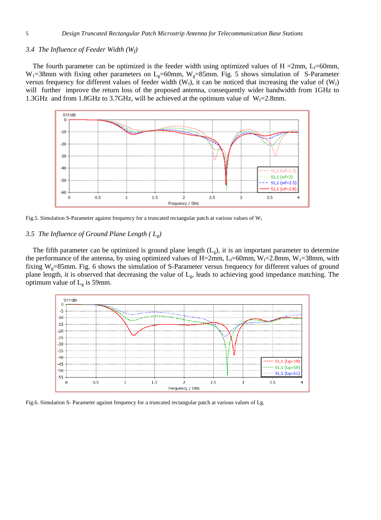## *3.4 The Influence of Feeder Width (Wf)*

The fourth parameter can be optimized is the feeder width using optimized values of H =2mm,  $L_f$ =60mm,  $W_1=38$ mm with fixing other parameters on L<sub>g</sub>=60mm, W<sub>g</sub>=85mm. Fig. 5 shows simulation of S-Parameter versus frequency for different values of feeder width (W<sub>t</sub>), it can be noticed that increasing the value of (W<sub>t</sub>) will further improve the return loss of the proposed antenna, consequently wider bandwidth from 1GHz to 1.3GHz and from 1.8GHz to 3.7GHz, will be achieved at the optimum value of  $W_f=2.8$ mm.



Fig.5. Simulation S-Parameter against frequency for a truncated rectangular patch at various values of  $W_f$ 

## *3.5 The Influence of Ground Plane Length ( Lg)*

The fifth parameter can be optimized is ground plane length  $(L<sub>e</sub>)$ , it is an important parameter to determine the performance of the antenna, by using optimized values of H=2mm, L<sub>f</sub>=60mm, W<sub>f</sub>=2.8mm, W<sub>1</sub>=38mm, with fixing  $W_g = 85$ mm. Fig. 6 shows the simulation of S-Parameter versus frequency for different values of ground plane length, it is observed that decreasing the value of Lg, leads to achieving good impedance matching. The optimum value of  $L_g$  is 59mm.



Fig.6. Simulation S- Parameter against frequency for a truncated rectangular patch at various values of Lg.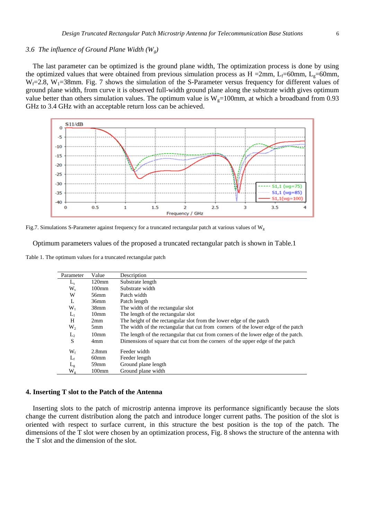#### *3.6 The influence of Ground Plane Width (Wg)*

The last parameter can be optimized is the ground plane width, The optimization process is done by using the optimized values that were obtained from previous simulation process as H =2mm, L<sub>f</sub>=60mm, L<sub>g</sub>=60mm,  $W_f=2.8$ ,  $W_1=38$ mm. Fig. 7 shows the simulation of the S-Parameter versus frequency for different values of ground plane width, from curve it is observed full-width ground plane along the substrate width gives optimum value better than others simulation values. The optimum value is  $W<sub>g</sub>=100$ mm, at which a broadband from 0.93 GHz to 3.4 GHz with an acceptable return loss can be achieved.





Optimum parameters values of the proposed a truncated rectangular patch is shown in Table.1

Table 1. The optimum values for a truncated rectangular patch

| Parameter      | Value             | Description                                                                         |
|----------------|-------------------|-------------------------------------------------------------------------------------|
| $L_{s}$        | $120$ mm          | Substrate length                                                                    |
| W <sub>s</sub> | 100 <sub>mm</sub> | Substrate width                                                                     |
| W              | 56mm              | Patch width                                                                         |
| L              | 36 <sub>mm</sub>  | Patch length                                                                        |
| $W_1$          | 38 <sub>mm</sub>  | The width of the rectangular slot                                                   |
| $L_1$          | 10 <sub>mm</sub>  | The length of the rectangular slot                                                  |
| H              | 2mm               | The height of the rectangular slot from the lower edge of the patch                 |
| $W_2$          | 5 <sub>mm</sub>   | The width of the rectangular that cut from corners of the lower edge of the patch   |
| $L_{2}$        | 10 <sub>mm</sub>  | The length of the rectangular that cut from corners of the lower edge of the patch. |
| S              | 4mm               | Dimensions of square that cut from the corners of the upper edge of the patch       |
| $W_{f}$        | 2.8 <sub>mm</sub> | Feeder width                                                                        |
| $L_f$          | 60 <sub>mm</sub>  | Feeder length                                                                       |
| $L_{\rm g}$    | 59 <sub>mm</sub>  | Ground plane length                                                                 |
| $\rm W_g$      | 100 <sub>mm</sub> | Ground plane width                                                                  |

## **4. Inserting T slot to the Patch of the Antenna**

Inserting slots to the patch of microstrip antenna improve its performance significantly because the slots change the current distribution along the patch and introduce longer current paths. The position of the slot is oriented with respect to surface current, in this structure the best position is the top of the patch. The dimensions of the T slot were chosen by an optimization process, Fig. 8 shows the structure of the antenna with the T slot and the dimension of the slot.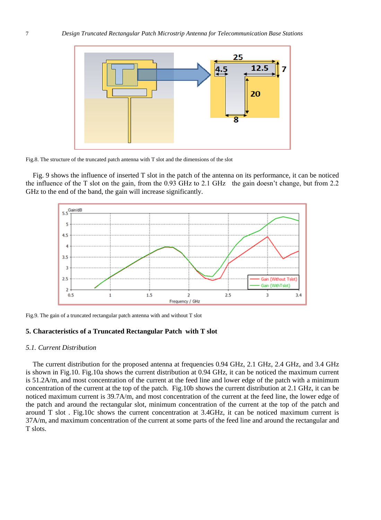

Fig.8. The structure of the truncated patch antenna with T slot and the dimensions of the slot

Fig. 9 shows the influence of inserted T slot in the patch of the antenna on its performance, it can be noticed the influence of the T slot on the gain, from the 0.93 GHz to 2.1 GHz the gain doesn't change, but from 2.2 GHz to the end of the band, the gain will increase significantly.



Fig.9. The gain of a truncated rectangular patch antenna with and without T slot

# **5. Characteristics of a Truncated Rectangular Patch with T slot**

## *5.1. Current Distribution*

The current distribution for the proposed antenna at frequencies 0.94 GHz, 2.1 GHz, 2.4 GHz, and 3.4 GHz is shown in Fig.10. Fig.10a shows the current distribution at 0.94 GHz, it can be noticed the maximum current is 51.2A/m, and most concentration of the current at the feed line and lower edge of the patch with a minimum concentration of the current at the top of the patch. Fig.10b shows the current distribution at 2.1 GHz, it can be noticed maximum current is 39.7A/m, and most concentration of the current at the feed line, the lower edge of the patch and around the rectangular slot, minimum concentration of the current at the top of the patch and around T slot . Fig.10c shows the current concentration at 3.4GHz, it can be noticed maximum current is 37A/m, and maximum concentration of the current at some parts of the feed line and around the rectangular and T slots.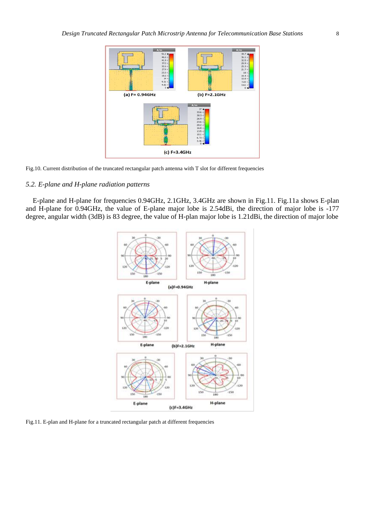

Fig.10. Current distribution of the truncated rectangular patch antenna with T slot for different frequencies

#### *5.2. E-plane and H-plane radiation patterns*

E-plane and H-plane for frequencies 0.94GHz, 2.1GHz, 3.4GHz are shown in Fig.11. Fig.11a shows E-plan and H-plane for 0.94GHz, the value of E-plane major lobe is 2.54dBi, the direction of major lobe is -177 degree, angular width (3dB) is 83 degree, the value of H-plan major lobe is 1.21dBi, the direction of major lobe



Fig.11. E-plan and H-plane for a truncated rectangular patch at different frequencies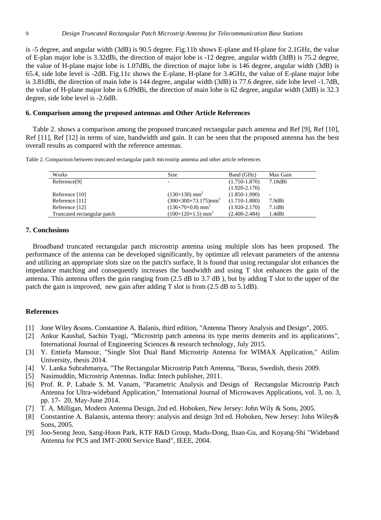is -5 degree, and angular width (3dB) is 90.5 degree. Fig.11b shows E-plane and H-plane for 2.1GHz, the value of E-plan major lobe is 3.32dBi, the direction of major lobe is -12 degree, angular width (3dB) is 75.2 degree, the value of H-plane major lobe is 1.07dBi, the direction of major lobe is 146 degree, angular width (3dB) is 65.4, side lobe level is -2dB. Fig.11c shows the E-plane, H-plane for 3.4GHz, the value of E-plane major lobe is 3.81dBi, the direction of main lobe is 144 degree, angular width (3dB) is 77.6 degree, side lobe level -1.7dB, the value of H-plane major lobe is 6.09dBi, the direction of main lobe is 62 degree, angular width (3dB) is 32.3 degree, side lobe level is -2.6dB.

# **6. Comparison among the proposed antennas and Other Article References**

Table 2. shows a comparison among the proposed truncated rectangular patch antenna and Ref [9], Ref [10], Ref [11], Ref [12] in terms of size, bandwidth and gain. It can be seen that the proposed antenna has the best overall results as compared with the reference antennas.

Table 2. Comparison between truncated rectangular patch microstrip antenna and other article references

| Works                       | Size                                         | Band (GHz)        | Max Gain |
|-----------------------------|----------------------------------------------|-------------------|----------|
| Reference <sup>[9]</sup>    | -                                            | $(1.750 - 1.870)$ | 7.18dBi  |
|                             |                                              | $(1.920 - 2.170)$ |          |
| Reference [10]              | $(130\times130)$ mm <sup>2</sup>             | $(1.850 - 1.990)$ |          |
| Reference [11]              | $(300\times300\times73.175)$ mm <sup>3</sup> | $(1.710 - 1.880)$ | 7.9dBi   |
| Reference [12]              | $(136\times70\times0.8)$ mm <sup>3</sup>     | $(1.920 - 2.170)$ | 7.1dBi   |
| Truncated rectangular patch | $(100\times120\times1.5)$ mm <sup>3</sup>    | $(2.400 - 2.484)$ | 1.4dBi   |

# **7. Conclusions**

Broadband truncated rectangular patch microstrip antenna using multiple slots has been proposed. The performance of the antenna can be developed significantly, by optimize all relevant parameters of the antenna and utilizing an appropriate slots size on the patch's surface, It is found that using rectangular slot enhances the impedance matching and consequently increases the bandwidth and using T slot enhances the gain of the antenna. This antenna offers the gain ranging from (2.5 dB to 3.7 dB ), but by adding T slot to the upper of the patch the gain is improved, new gain after adding T slot is from (2.5 dB to 5.1dB).

# **References**

- [1] Jone Wiley &sons. Constantine A. Balanis, third edition, "Antenna Theory Analysis and Design", 2005.
- [2] Ankur Kaushal, Sachin Tyagi, *"*Microstrip patch antenna its type merits demerits and its applications*"*, International Journal of Engineering Sciences & research technology, July 2015.
- [3] Y. Entiefa Mansour, "Single Slot Dual Band Microstrip Antenna for WIMAX Application," Atilim University, thesis 2014.
- [4] V. Lanka Subrahmanya, "The Rectangular Microstrip Patch Antenna, "Boras, Swedish, thesis 2009.
- [5] Nasimuddin, Microstrip Antennas. India: Intech publisher, 2011.
- [6] Prof. R. P. Labade S. M. Vanam, "Parametric Analysis and Design of Rectangular Microstrip Patch Antenna for Ultra-wideband Application," International Journal of Microwaves Applications, vol. 3, no. 3, pp. 17- 20, May-June 2014.
- [7] T. A. Milligan, Modern Antenna Design, 2nd ed. Hoboken, New Jersey: John Wily & Sons, 2005.
- [8] Constantine A. Balansis, antenna theory: analysis and design 3rd ed. Hoboken, New Jersey: John Wiley& Sons, 2005.
- [9] Joo-Seong Jeon, Sang-Hoon Park, KTF R&D Group, Madu-Dong, Ilsan-Gu, and Koyang-Shi "Wideband Antenna for PCS and IMT-2000 Service Band", IEEE, 2004.